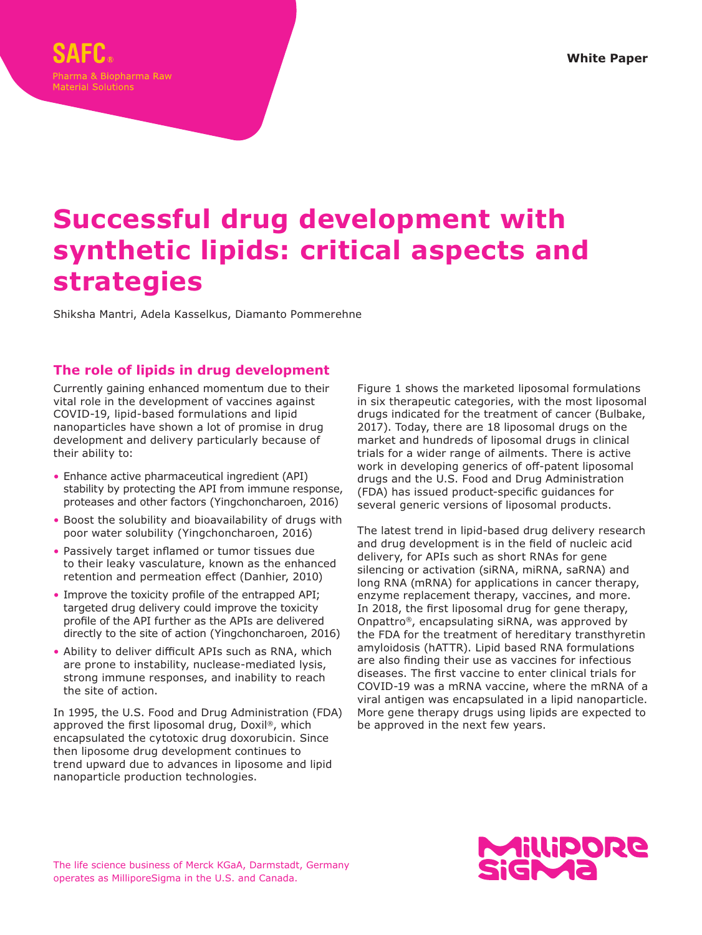**White Paper**

# **Successful drug development with synthetic lipids: critical aspects and strategies**

Shiksha Mantri, Adela Kasselkus, Diamanto Pommerehne

# **The role of lipids in drug development**

Currently gaining enhanced momentum due to their vital role in the development of vaccines against COVID-19, lipid-based formulations and lipid nanoparticles have shown a lot of promise in drug development and delivery particularly because of their ability to:

- Enhance active pharmaceutical ingredient (API) stability by protecting the API from immune response, proteases and other factors (Yingchoncharoen, 2016)
- Boost the solubility and bioavailability of drugs with poor water solubility (Yingchoncharoen, 2016)
- Passively target inflamed or tumor tissues due to their leaky vasculature, known as the enhanced retention and permeation effect (Danhier, 2010)
- Improve the toxicity profile of the entrapped API; targeted drug delivery could improve the toxicity profile of the API further as the APIs are delivered directly to the site of action (Yingchoncharoen, 2016)
- Ability to deliver difficult APIs such as RNA, which are prone to instability, nuclease-mediated lysis, strong immune responses, and inability to reach the site of action.

In 1995, the U.S. Food and Drug Administration (FDA) approved the first liposomal drug, Doxil®, which encapsulated the cytotoxic drug doxorubicin. Since then liposome drug development continues to trend upward due to advances in liposome and lipid nanoparticle production technologies.

Figure 1 shows the marketed liposomal formulations in six therapeutic categories, with the most liposomal drugs indicated for the treatment of cancer (Bulbake, 2017). Today, there are 18 liposomal drugs on the market and hundreds of liposomal drugs in clinical trials for a wider range of ailments. There is active work in developing generics of off-patent liposomal drugs and the U.S. Food and Drug Administration (FDA) has issued product-specific guidances for several generic versions of liposomal products.

The latest trend in lipid-based drug delivery research and drug development is in the field of nucleic acid delivery, for APIs such as short RNAs for gene silencing or activation (siRNA, miRNA, saRNA) and long RNA (mRNA) for applications in cancer therapy, enzyme replacement therapy, vaccines, and more. In 2018, the first liposomal drug for gene therapy, Onpattro®, encapsulating siRNA, was approved by the FDA for the treatment of hereditary transthyretin amyloidosis (hATTR). Lipid based RNA formulations are also finding their use as vaccines for infectious diseases. The first vaccine to enter clinical trials for COVID-19 was a mRNA vaccine, where the mRNA of a viral antigen was encapsulated in a lipid nanoparticle. More gene therapy drugs using lipids are expected to be approved in the next few years.

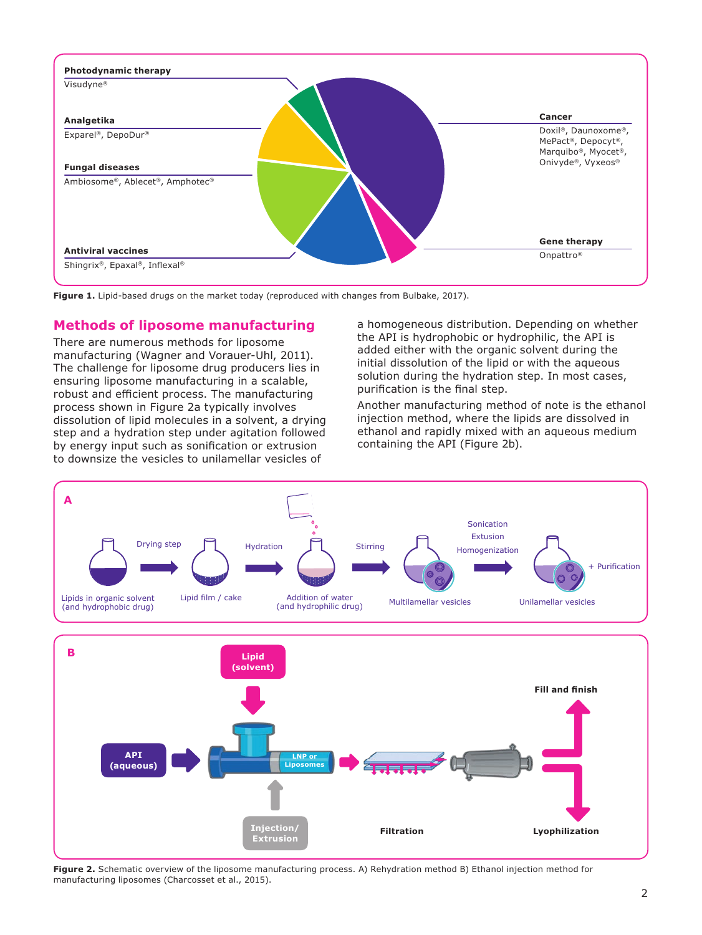

**Figure 1.** Lipid-based drugs on the market today (reproduced with changes from Bulbake, 2017).

## **Methods of liposome manufacturing**

There are numerous methods for liposome manufacturing (Wagner and Vorauer-Uhl, 2011). The challenge for liposome drug producers lies in ensuring liposome manufacturing in a scalable, robust and efficient process. The manufacturing process shown in Figure 2a typically involves dissolution of lipid molecules in a solvent, a drying step and a hydration step under agitation followed by energy input such as sonification or extrusion to downsize the vesicles to unilamellar vesicles of

a homogeneous distribution. Depending on whether the API is hydrophobic or hydrophilic, the API is added either with the organic solvent during the initial dissolution of the lipid or with the aqueous solution during the hydration step. In most cases, purification is the final step.

Another manufacturing method of note is the ethanol injection method, where the lipids are dissolved in ethanol and rapidly mixed with an aqueous medium containing the API (Figure 2b).



**Figure 2.** Schematic overview of the liposome manufacturing process. A) Rehydration method B) Ethanol injection method for manufacturing liposomes (Charcosset et al., 2015).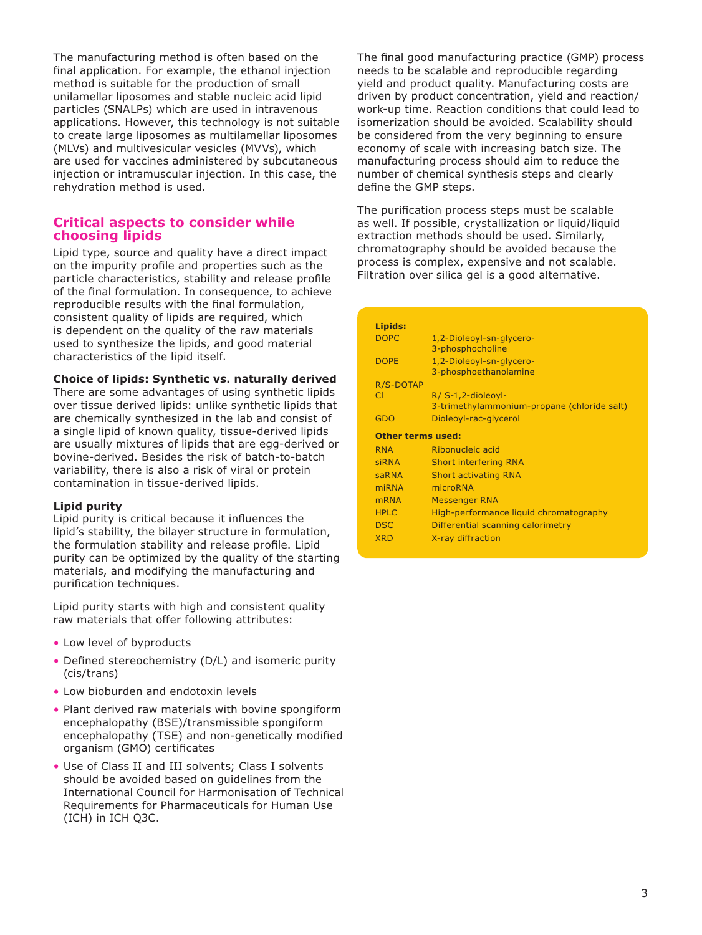The manufacturing method is often based on the final application. For example, the ethanol injection method is suitable for the production of small unilamellar liposomes and stable nucleic acid lipid particles (SNALPs) which are used in intravenous applications. However, this technology is not suitable to create large liposomes as multilamellar liposomes (MLVs) and multivesicular vesicles (MVVs), which are used for vaccines administered by subcutaneous injection or intramuscular injection. In this case, the rehydration method is used.

## **Critical aspects to consider while choosing lipids**

Lipid type, source and quality have a direct impact on the impurity profile and properties such as the particle characteristics, stability and release profile of the final formulation. In consequence, to achieve reproducible results with the final formulation, consistent quality of lipids are required, which is dependent on the quality of the raw materials used to synthesize the lipids, and good material characteristics of the lipid itself.

## **Choice of lipids: Synthetic vs. naturally derived**

There are some advantages of using synthetic lipids over tissue derived lipids: unlike synthetic lipids that are chemically synthesized in the lab and consist of a single lipid of known quality, tissue-derived lipids are usually mixtures of lipids that are egg-derived or bovine-derived. Besides the risk of batch-to-batch variability, there is also a risk of viral or protein contamination in tissue-derived lipids.

## **Lipid purity**

Lipid purity is critical because it influences the lipid's stability, the bilayer structure in formulation, the formulation stability and release profile. Lipid purity can be optimized by the quality of the starting materials, and modifying the manufacturing and purification techniques.

Lipid purity starts with high and consistent quality raw materials that offer following attributes:

- Low level of byproducts
- Defined stereochemistry (D/L) and isomeric purity (cis/trans)
- Low bioburden and endotoxin levels
- Plant derived raw materials with bovine spongiform encephalopathy (BSE)/transmissible spongiform encephalopathy (TSE) and non-genetically modified organism (GMO) certificates
- Use of Class II and III solvents; Class I solvents should be avoided based on guidelines from the International Council for Harmonisation of Technical Requirements for Pharmaceuticals for Human Use (ICH) in ICH Q3C.

The final good manufacturing practice (GMP) process needs to be scalable and reproducible regarding yield and product quality. Manufacturing costs are driven by product concentration, yield and reaction/ work-up time. Reaction conditions that could lead to isomerization should be avoided. Scalability should be considered from the very beginning to ensure economy of scale with increasing batch size. The manufacturing process should aim to reduce the number of chemical synthesis steps and clearly define the GMP steps.

The purification process steps must be scalable as well. If possible, crystallization or liquid/liquid extraction methods should be used. Similarly, chromatography should be avoided because the process is complex, expensive and not scalable. Filtration over silica gel is a good alternative.

| Lipids:                  |                                             |
|--------------------------|---------------------------------------------|
| <b>DOPC</b>              | 1,2-Dioleoyl-sn-glycero-                    |
|                          | 3-phosphocholine                            |
| <b>DOPE</b>              | 1,2-Dioleoyl-sn-glycero-                    |
|                          | 3-phosphoethanolamine                       |
| R/S-DOTAP                |                                             |
| CI.                      | $R/$ S-1,2-dioleoyl-                        |
|                          | 3-trimethylammonium-propane (chloride salt) |
| GDO                      | Dioleoyl-rac-glycerol                       |
|                          |                                             |
| <b>Other terms used:</b> |                                             |
| <b>RNA</b>               | Ribonucleic acid                            |
| <b>siRNA</b>             | <b>Short interfering RNA</b>                |
| saRNA                    | <b>Short activating RNA</b>                 |
| miRNA                    | microRNA                                    |
| <b>mRNA</b>              | <b>Messenger RNA</b>                        |
| <b>HPLC</b>              | High-performance liquid chromatography      |
| <b>DSC</b>               | Differential scanning calorimetry           |
| <b>XRD</b>               | X-ray diffraction                           |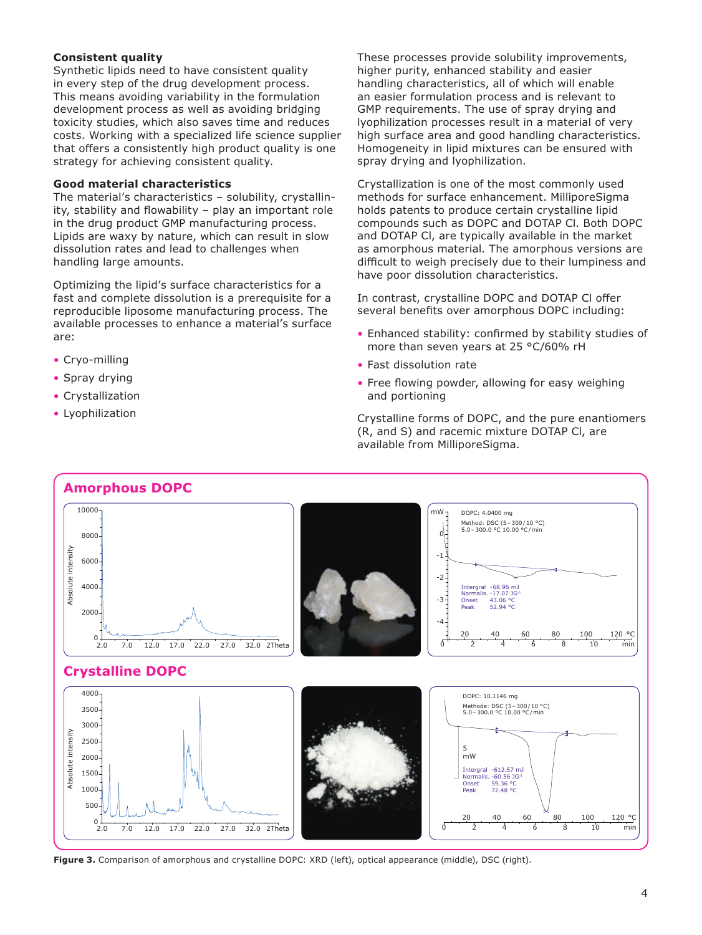## **Consistent quality**

Synthetic lipids need to have consistent quality in every step of the drug development process. This means avoiding variability in the formulation development process as well as avoiding bridging toxicity studies, which also saves time and reduces costs. Working with a specialized life science supplier that offers a consistently high product quality is one strategy for achieving consistent quality.

#### **Good material characteristics**

The material's characteristics – solubility, crystallinity, stability and flowability – play an important role in the drug product GMP manufacturing process. Lipids are waxy by nature, which can result in slow dissolution rates and lead to challenges when handling large amounts.

Optimizing the lipid's surface characteristics for a fast and complete dissolution is a prerequisite for a reproducible liposome manufacturing process. The available processes to enhance a material's surface are:

- Cryo-milling
- Spray drying
- Crystallization
- Lyophilization

These processes provide solubility improvements, higher purity, enhanced stability and easier handling characteristics, all of which will enable an easier formulation process and is relevant to GMP requirements. The use of spray drying and lyophilization processes result in a material of very high surface area and good handling characteristics. Homogeneity in lipid mixtures can be ensured with spray drying and lyophilization.

Crystallization is one of the most commonly used methods for surface enhancement. MilliporeSigma holds patents to produce certain crystalline lipid compounds such as DOPC and DOTAP Cl. Both DOPC and DOTAP Cl, are typically available in the market as amorphous material. The amorphous versions are difficult to weigh precisely due to their lumpiness and have poor dissolution characteristics.

In contrast, crystalline DOPC and DOTAP Cl offer several benefits over amorphous DOPC including:

- Enhanced stability: confirmed by stability studies of more than seven years at 25 °C/60% rH
- Fast dissolution rate
- Free flowing powder, allowing for easy weighing and portioning

Crystalline forms of DOPC, and the pure enantiomers (R, and S) and racemic mixture DOTAP Cl, are available from MilliporeSigma.



**Figure 3.** Comparison of amorphous and crystalline DOPC: XRD (left), optical appearance (middle), DSC (right).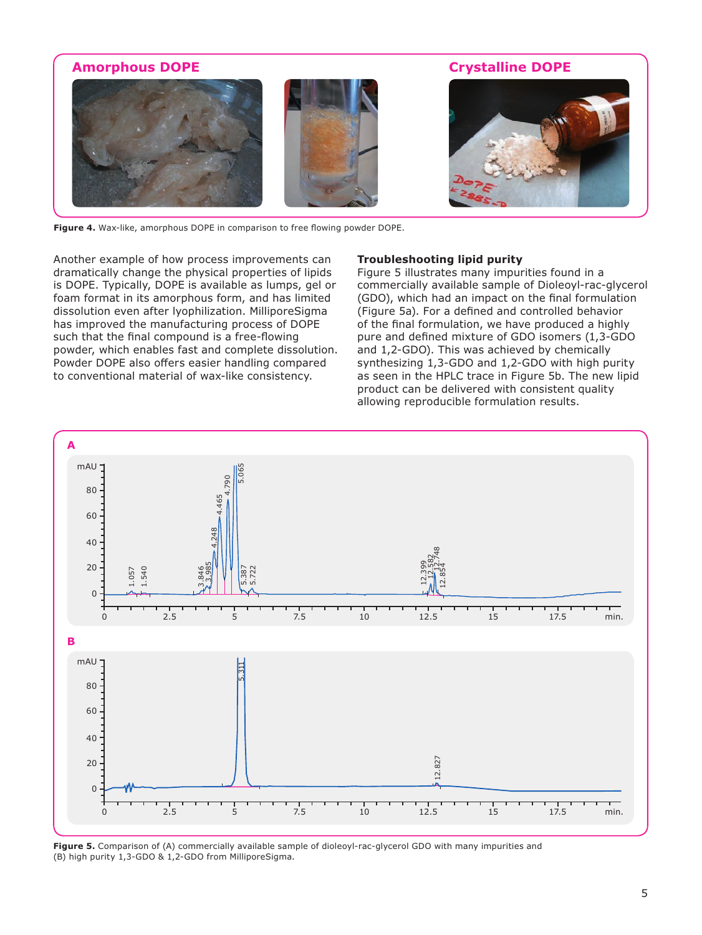

**Figure 4.** Wax-like, amorphous DOPE in comparison to free flowing powder DOPE.

Another example of how process improvements can dramatically change the physical properties of lipids is DOPE. Typically, DOPE is available as lumps, gel or foam format in its amorphous form, and has limited dissolution even after lyophilization. MilliporeSigma has improved the manufacturing process of DOPE such that the final compound is a free-flowing powder, which enables fast and complete dissolution. Powder DOPE also offers easier handling compared to conventional material of wax-like consistency.

## **Troubleshooting lipid purity**

Figure 5 illustrates many impurities found in a commercially available sample of Dioleoyl-rac-glycerol (GDO), which had an impact on the final formulation (Figure 5a). For a defined and controlled behavior of the final formulation, we have produced a highly pure and defined mixture of GDO isomers (1,3-GDO and 1,2-GDO). This was achieved by chemically synthesizing 1,3-GDO and 1,2-GDO with high purity as seen in the HPLC trace in Figure 5b. The new lipid product can be delivered with consistent quality allowing reproducible formulation results.



**Figure 5.** Comparison of (A) commercially available sample of dioleoyl-rac-glycerol GDO with many impurities and (B) high purity 1,3-GDO & 1,2-GDO from MilliporeSigma.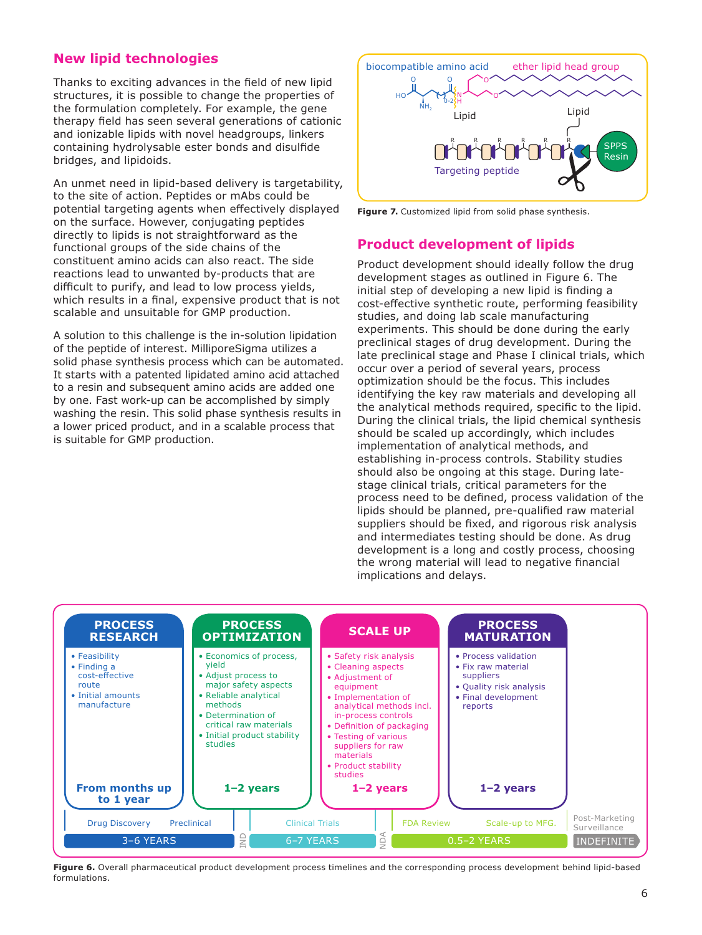# **New lipid technologies**

Thanks to exciting advances in the field of new lipid structures, it is possible to change the properties of the formulation completely. For example, the gene therapy field has seen several generations of cationic and ionizable lipids with novel headgroups, linkers containing hydrolysable ester bonds and disulfide bridges, and lipidoids.

An unmet need in lipid-based delivery is targetability, to the site of action. Peptides or mAbs could be potential targeting agents when effectively displayed on the surface. However, conjugating peptides directly to lipids is not straightforward as the functional groups of the side chains of the constituent amino acids can also react. The side reactions lead to unwanted by-products that are difficult to purify, and lead to low process yields, which results in a final, expensive product that is not scalable and unsuitable for GMP production.

A solution to this challenge is the in-solution lipidation of the peptide of interest. MilliporeSigma utilizes a solid phase synthesis process which can be automated. It starts with a patented lipidated amino acid attached to a resin and subsequent amino acids are added one by one. Fast work-up can be accomplished by simply washing the resin. This solid phase synthesis results in a lower priced product, and in a scalable process that is suitable for GMP production.



**Figure 7.** Customized lipid from solid phase synthesis.

# **Product development of lipids**

Product development should ideally follow the drug development stages as outlined in Figure 6. The initial step of developing a new lipid is finding a cost-effective synthetic route, performing feasibility studies, and doing lab scale manufacturing experiments. This should be done during the early preclinical stages of drug development. During the late preclinical stage and Phase I clinical trials, which occur over a period of several years, process optimization should be the focus. This includes identifying the key raw materials and developing all the analytical methods required, specific to the lipid. During the clinical trials, the lipid chemical synthesis should be scaled up accordingly, which includes implementation of analytical methods, and establishing in-process controls. Stability studies should also be ongoing at this stage. During latestage clinical trials, critical parameters for the process need to be defined, process validation of the lipids should be planned, pre-qualified raw material suppliers should be fixed, and rigorous risk analysis and intermediates testing should be done. As drug development is a long and costly process, choosing the wrong material will lead to negative financial implications and delays.



**Figure 6.** Overall pharmaceutical product development process timelines and the corresponding process development behind lipid-based formulations.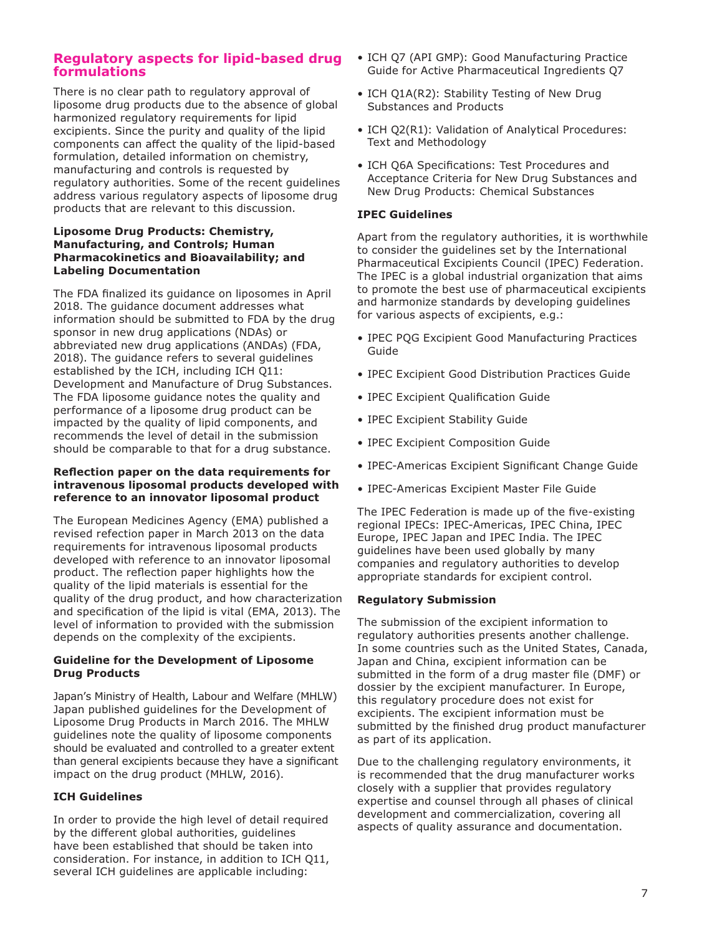## **Regulatory aspects for lipid-based drug formulations**

There is no clear path to regulatory approval of liposome drug products due to the absence of global harmonized regulatory requirements for lipid excipients. Since the purity and quality of the lipid components can affect the quality of the lipid-based formulation, detailed information on chemistry, manufacturing and controls is requested by regulatory authorities. Some of the recent guidelines address various regulatory aspects of liposome drug products that are relevant to this discussion.

#### **Liposome Drug Products: Chemistry, Manufacturing, and Controls; Human Pharmacokinetics and Bioavailability; and Labeling Documentation**

The FDA finalized its guidance on liposomes in April 2018. The guidance document addresses what information should be submitted to FDA by the drug sponsor in new drug applications (NDAs) or abbreviated new drug applications (ANDAs) (FDA, 2018). The guidance refers to several guidelines established by the ICH, including ICH Q11: Development and Manufacture of Drug Substances. The FDA liposome guidance notes the quality and performance of a liposome drug product can be impacted by the quality of lipid components, and recommends the level of detail in the submission should be comparable to that for a drug substance.

#### **Reflection paper on the data requirements for intravenous liposomal products developed with reference to an innovator liposomal product**

The European Medicines Agency (EMA) published a revised refection paper in March 2013 on the data requirements for intravenous liposomal products developed with reference to an innovator liposomal product. The reflection paper highlights how the quality of the lipid materials is essential for the quality of the drug product, and how characterization and specification of the lipid is vital (EMA, 2013). The level of information to provided with the submission depends on the complexity of the excipients.

## **Guideline for the Development of Liposome Drug Products**

Japan's Ministry of Health, Labour and Welfare (MHLW) Japan published guidelines for the Development of Liposome Drug Products in March 2016. The MHLW guidelines note the quality of liposome components should be evaluated and controlled to a greater extent than general excipients because they have a significant impact on the drug product (MHLW, 2016).

## **ICH Guidelines**

In order to provide the high level of detail required by the different global authorities, guidelines have been established that should be taken into consideration. For instance, in addition to ICH Q11, several ICH guidelines are applicable including:

- ICH Q7 (API GMP): Good Manufacturing Practice Guide for Active Pharmaceutical Ingredients Q7
- ICH O1A(R2): Stability Testing of New Drug Substances and Products
- ICH Q2(R1): Validation of Analytical Procedures: Text and Methodology
- ICH Q6A Specifications: Test Procedures and Acceptance Criteria for New Drug Substances and New Drug Products: Chemical Substances

#### **IPEC Guidelines**

Apart from the regulatory authorities, it is worthwhile to consider the guidelines set by the International Pharmaceutical Excipients Council (IPEC) Federation. The IPEC is a global industrial organization that aims to promote the best use of pharmaceutical excipients and harmonize standards by developing guidelines for various aspects of excipients, e.g.:

- IPEC PQG Excipient Good Manufacturing Practices Guide
- IPEC Excipient Good Distribution Practices Guide
- IPEC Excipient Qualification Guide
- IPEC Excipient Stability Guide
- IPEC Excipient Composition Guide
- IPEC-Americas Excipient Significant Change Guide
- IPEC-Americas Excipient Master File Guide

The IPEC Federation is made up of the five-existing regional IPECs: IPEC-Americas, IPEC China, IPEC Europe, IPEC Japan and IPEC India. The IPEC guidelines have been used globally by many companies and regulatory authorities to develop appropriate standards for excipient control.

#### **Regulatory Submission**

The submission of the excipient information to regulatory authorities presents another challenge. In some countries such as the United States, Canada, Japan and China, excipient information can be submitted in the form of a drug master file (DMF) or dossier by the excipient manufacturer. In Europe, this regulatory procedure does not exist for excipients. The excipient information must be submitted by the finished drug product manufacturer as part of its application.

Due to the challenging regulatory environments, it is recommended that the drug manufacturer works closely with a supplier that provides regulatory expertise and counsel through all phases of clinical development and commercialization, covering all aspects of quality assurance and documentation.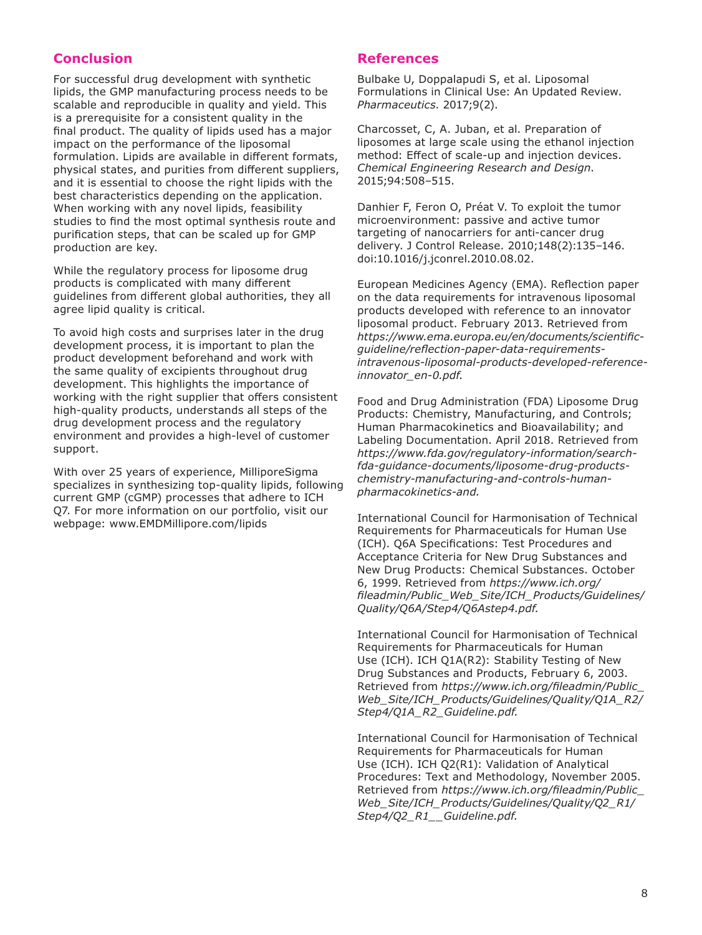# **Conclusion**

For successful drug development with synthetic lipids, the GMP manufacturing process needs to be scalable and reproducible in quality and yield. This is a prerequisite for a consistent quality in the final product. The quality of lipids used has a major impact on the performance of the liposomal formulation. Lipids are available in different formats, physical states, and purities from different suppliers, and it is essential to choose the right lipids with the best characteristics depending on the application. When working with any novel lipids, feasibility studies to find the most optimal synthesis route and purification steps, that can be scaled up for GMP production are key.

While the regulatory process for liposome drug products is complicated with many different guidelines from different global authorities, they all agree lipid quality is critical.

To avoid high costs and surprises later in the drug development process, it is important to plan the product development beforehand and work with the same quality of excipients throughout drug development. This highlights the importance of working with the right supplier that offers consistent high-quality products, understands all steps of the drug development process and the regulatory environment and provides a high-level of customer support.

With over 25 years of experience, MilliporeSigma specializes in synthesizing top-quality lipids, following current GMP (cGMP) processes that adhere to ICH Q7. For more information on our portfolio, visit our webpage: www.EMDMillipore.com/lipids

## **References**

Bulbake U, Doppalapudi S, et al. Liposomal Formulations in Clinical Use: An Updated Review. *Pharmaceutics*. 2017;9(2).

Charcosset, C, A. Juban, et al. Preparation of liposomes at large scale using the ethanol injection method: Effect of scale-up and injection devices. *Chemical Engineering Research and Design*. 2015;94:508–515.

Danhier F, Feron O, Préat V. To exploit the tumor microenvironment: passive and active tumor targeting of nanocarriers for anti-cancer drug delivery. J Control Release. 2010;148(2):135–146. doi:10.1016/j.jconrel.2010.08.02.

European Medicines Agency (EMA). Reflection paper on the data requirements for intravenous liposomal products developed with reference to an innovator liposomal product. February 2013. Retrieved from *https://www.ema.europa.eu/en/documents/scientificguideline/reflection-paper-data-requirementsintravenous-liposomal-products-developed-referenceinnovator\_en-0.pdf.*

Food and Drug Administration (FDA) Liposome Drug Products: Chemistry, Manufacturing, and Controls; Human Pharmacokinetics and Bioavailability; and Labeling Documentation. April 2018. Retrieved from *https://www.fda.gov/regulatory-information/searchfda-guidance-documents/liposome-drug-productschemistry-manufacturing-and-controls-humanpharmacokinetics-and.*

International Council for Harmonisation of Technical Requirements for Pharmaceuticals for Human Use (ICH). Q6A Specifications: Test Procedures and Acceptance Criteria for New Drug Substances and New Drug Products: Chemical Substances. October 6, 1999. Retrieved from *https://www.ich.org/ fileadmin/Public\_Web\_Site/ICH\_Products/Guidelines/ Quality/Q6A/Step4/Q6Astep4.pdf.*

International Council for Harmonisation of Technical Requirements for Pharmaceuticals for Human Use (ICH). ICH Q1A(R2): Stability Testing of New Drug Substances and Products, February 6, 2003. Retrieved from *https://www.ich.org/fileadmin/Public\_ Web\_Site/ICH\_Products/Guidelines/Quality/Q1A\_R2/ Step4/Q1A\_R2\_Guideline.pdf.*

International Council for Harmonisation of Technical Requirements for Pharmaceuticals for Human Use (ICH). ICH Q2(R1): Validation of Analytical Procedures: Text and Methodology, November 2005. Retrieved from *https://www.ich.org/fileadmin/Public\_ Web\_Site/ICH\_Products/Guidelines/Quality/Q2\_R1/ Step4/Q2\_R1\_\_Guideline.pdf.*